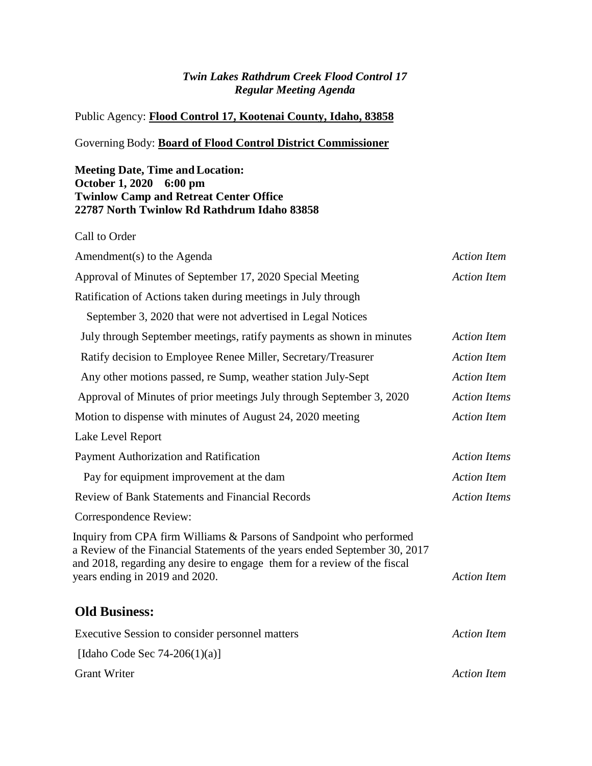## *Twin Lakes Rathdrum Creek Flood Control 17 Regular Meeting Agenda*

## Public Agency: **Flood Control 17, Kootenai County, Idaho, 83858**

#### Governing Body: **Board of Flood Control District Commissioner**

## **Meeting Date, Time andLocation: October 1, 2020 6:00 pm Twinlow Camp and Retreat Center Office 22787 North Twinlow Rd Rathdrum Idaho 83858**

#### Call to Order

| Amendment(s) to the Agenda                                                                                                                                                                                                                                      | <b>Action Item</b>  |
|-----------------------------------------------------------------------------------------------------------------------------------------------------------------------------------------------------------------------------------------------------------------|---------------------|
| Approval of Minutes of September 17, 2020 Special Meeting                                                                                                                                                                                                       | <b>Action Item</b>  |
| Ratification of Actions taken during meetings in July through                                                                                                                                                                                                   |                     |
| September 3, 2020 that were not advertised in Legal Notices                                                                                                                                                                                                     |                     |
| July through September meetings, ratify payments as shown in minutes                                                                                                                                                                                            | <b>Action Item</b>  |
| Ratify decision to Employee Renee Miller, Secretary/Treasurer                                                                                                                                                                                                   | <b>Action Item</b>  |
| Any other motions passed, re Sump, weather station July-Sept                                                                                                                                                                                                    | <b>Action Item</b>  |
| Approval of Minutes of prior meetings July through September 3, 2020                                                                                                                                                                                            | <b>Action Items</b> |
| Motion to dispense with minutes of August 24, 2020 meeting                                                                                                                                                                                                      | <b>Action Item</b>  |
| Lake Level Report                                                                                                                                                                                                                                               |                     |
| Payment Authorization and Ratification                                                                                                                                                                                                                          | <b>Action Items</b> |
| Pay for equipment improvement at the dam                                                                                                                                                                                                                        | <b>Action Item</b>  |
| <b>Review of Bank Statements and Financial Records</b>                                                                                                                                                                                                          | <b>Action Items</b> |
| Correspondence Review:                                                                                                                                                                                                                                          |                     |
| Inquiry from CPA firm Williams & Parsons of Sandpoint who performed<br>a Review of the Financial Statements of the years ended September 30, 2017<br>and 2018, regarding any desire to engage them for a review of the fiscal<br>years ending in 2019 and 2020. | <b>Action Item</b>  |
| <b>Old Business:</b>                                                                                                                                                                                                                                            |                     |
| Executive Session to consider personnel matters                                                                                                                                                                                                                 | <b>Action Item</b>  |
| [Idaho Code Sec 74-206 $(1)(a)$ ]                                                                                                                                                                                                                               |                     |
| <b>Grant Writer</b>                                                                                                                                                                                                                                             | <b>Action Item</b>  |